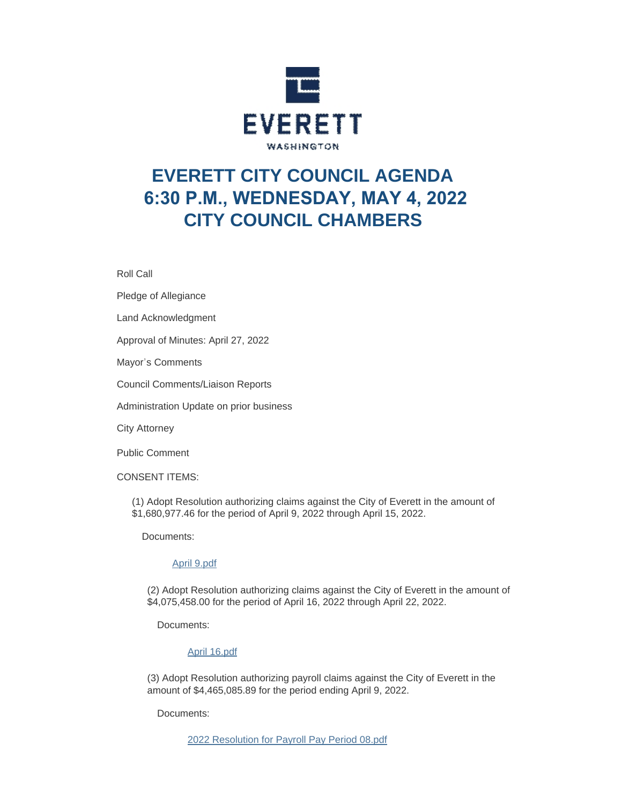

# **EVERETT CITY COUNCIL AGENDA 6:30 P.M., WEDNESDAY, MAY 4, 2022 CITY COUNCIL CHAMBERS**

Roll Call

Pledge of Allegiance

Land Acknowledgment

Approval of Minutes: April 27, 2022

Mayor's Comments

Council Comments/Liaison Reports

Administration Update on prior business

City Attorney

Public Comment

CONSENT ITEMS:

(1) Adopt Resolution authorizing claims against the City of Everett in the amount of \$1,680,977.46 for the period of April 9, 2022 through April 15, 2022.

Documents:

## [April 9.pdf](https://www.everettwa.gov/AgendaCenter/ViewFile/Item/13711?fileID=80843)

(2) Adopt Resolution authorizing claims against the City of Everett in the amount of \$4,075,458.00 for the period of April 16, 2022 through April 22, 2022.

Documents:

## [April 16.pdf](https://www.everettwa.gov/AgendaCenter/ViewFile/Item/13712?fileID=80844)

(3) Adopt Resolution authorizing payroll claims against the City of Everett in the amount of \$4,465,085.89 for the period ending April 9, 2022.

Documents: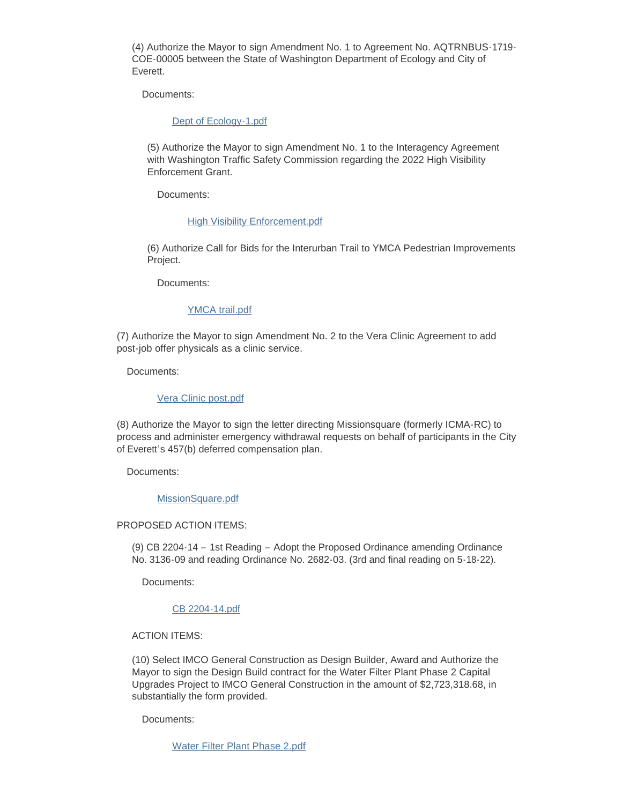(4) Authorize the Mayor to sign Amendment No. 1 to Agreement No. AQTRNBUS-1719- COE-00005 between the State of Washington Department of Ecology and City of Everett.

Documents:

### [Dept of Ecology-1.pdf](https://www.everettwa.gov/AgendaCenter/ViewFile/Item/13714?fileID=80846)

(5) Authorize the Mayor to sign Amendment No. 1 to the Interagency Agreement with Washington Traffic Safety Commission regarding the 2022 High Visibility Enforcement Grant.

Documents:

#### **[High Visibility Enforcement.pdf](https://www.everettwa.gov/AgendaCenter/ViewFile/Item/13715?fileID=80847)**

(6) Authorize Call for Bids for the Interurban Trail to YMCA Pedestrian Improvements Project.

Documents:

## [YMCA trail.pdf](https://www.everettwa.gov/AgendaCenter/ViewFile/Item/13716?fileID=80848)

(7) Authorize the Mayor to sign Amendment No. 2 to the Vera Clinic Agreement to add post-job offer physicals as a clinic service.

Documents:

#### [Vera Clinic post.pdf](https://www.everettwa.gov/AgendaCenter/ViewFile/Item/13717?fileID=80849)

(8) Authorize the Mayor to sign the letter directing Missionsquare (formerly ICMA-RC) to process and administer emergency withdrawal requests on behalf of participants in the City of Everett's 457(b) deferred compensation plan.

Documents:

#### [MissionSquare.pdf](https://www.everettwa.gov/AgendaCenter/ViewFile/Item/13718?fileID=80850)

#### PROPOSED ACTION ITEMS:

(9) CB 2204-14 – 1st Reading – Adopt the Proposed Ordinance amending Ordinance No. 3136-09 and reading Ordinance No. 2682-03. (3rd and final reading on 5-18-22).

Documents:

# [CB 2204-14.pdf](https://www.everettwa.gov/AgendaCenter/ViewFile/Item/13720?fileID=80852)

ACTION ITEMS:

(10) Select IMCO General Construction as Design Builder, Award and Authorize the Mayor to sign the Design Build contract for the Water Filter Plant Phase 2 Capital Upgrades Project to IMCO General Construction in the amount of \$2,723,318.68, in substantially the form provided.

Documents:

[Water Filter Plant Phase 2.pdf](https://www.everettwa.gov/AgendaCenter/ViewFile/Item/13719?fileID=80851)